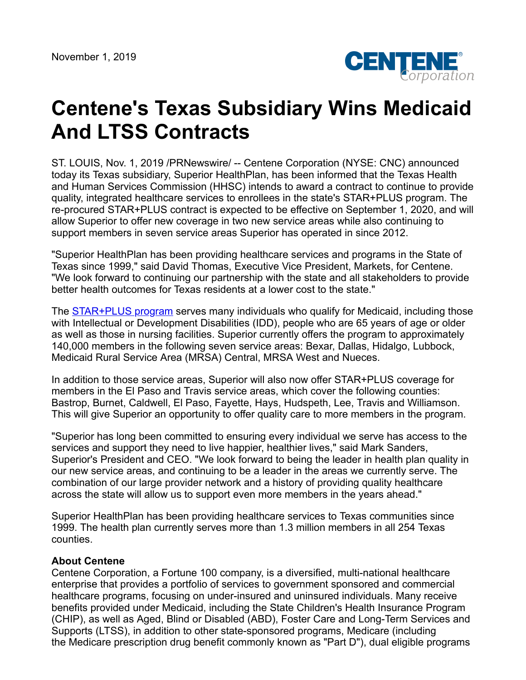

## **Centene's Texas Subsidiary Wins Medicaid And LTSS Contracts**

ST. LOUIS, Nov. 1, 2019 /PRNewswire/ -- Centene Corporation (NYSE: CNC) announced today its Texas subsidiary, Superior HealthPlan, has been informed that the Texas Health and Human Services Commission (HHSC) intends to award a contract to continue to provide quality, integrated healthcare services to enrollees in the state's STAR+PLUS program. The re-procured STAR+PLUS contract is expected to be effective on September 1, 2020, and will allow Superior to offer new coverage in two new service areas while also continuing to support members in seven service areas Superior has operated in since 2012.

"Superior HealthPlan has been providing healthcare services and programs in the State of Texas since 1999," said David Thomas, Executive Vice President, Markets, for Centene. "We look forward to continuing our partnership with the state and all stakeholders to provide better health outcomes for Texas residents at a lower cost to the state."

The **STAR+PLUS program** serves many individuals who qualify for Medicaid, including those with Intellectual or Development Disabilities (IDD), people who are 65 years of age or older as well as those in nursing facilities. Superior currently offers the program to approximately 140,000 members in the following seven service areas: Bexar, Dallas, Hidalgo, Lubbock, Medicaid Rural Service Area (MRSA) Central, MRSA West and Nueces.

In addition to those service areas, Superior will also now offer STAR+PLUS coverage for members in the El Paso and Travis service areas, which cover the following counties: Bastrop, Burnet, Caldwell, El Paso, Fayette, Hays, Hudspeth, Lee, Travis and Williamson. This will give Superior an opportunity to offer quality care to more members in the program.

"Superior has long been committed to ensuring every individual we serve has access to the services and support they need to live happier, healthier lives," said Mark Sanders, Superior's President and CEO. "We look forward to being the leader in health plan quality in our new service areas, and continuing to be a leader in the areas we currently serve. The combination of our large provider network and a history of providing quality healthcare across the state will allow us to support even more members in the years ahead."

Superior HealthPlan has been providing healthcare services to Texas communities since 1999. The health plan currently serves more than 1.3 million members in all 254 Texas counties.

## **About Centene**

Centene Corporation, a Fortune 100 company, is a diversified, multi-national healthcare enterprise that provides a portfolio of services to government sponsored and commercial healthcare programs, focusing on under-insured and uninsured individuals. Many receive benefits provided under Medicaid, including the State Children's Health Insurance Program (CHIP), as well as Aged, Blind or Disabled (ABD), Foster Care and Long-Term Services and Supports (LTSS), in addition to other state-sponsored programs, Medicare (including the Medicare prescription drug benefit commonly known as "Part D"), dual eligible programs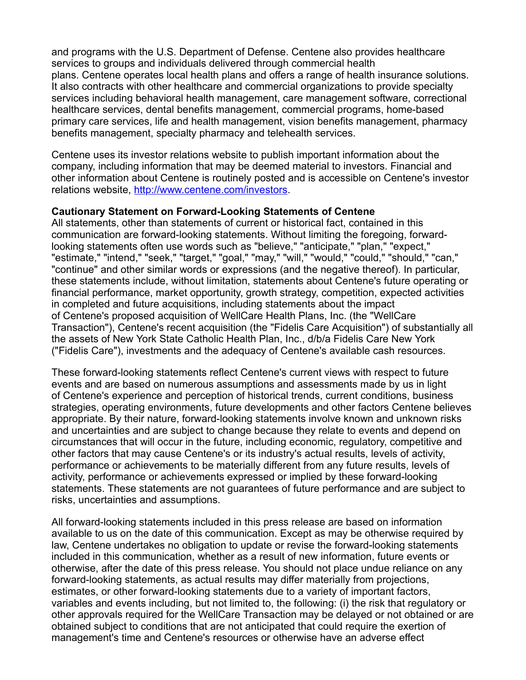and programs with the U.S. Department of Defense. Centene also provides healthcare services to groups and individuals delivered through commercial health plans. Centene operates local health plans and offers a range of health insurance solutions. It also contracts with other healthcare and commercial organizations to provide specialty services including behavioral health management, care management software, correctional healthcare services, dental benefits management, commercial programs, home-based primary care services, life and health management, vision benefits management, pharmacy benefits management, specialty pharmacy and telehealth services.

Centene uses its investor relations website to publish important information about the company, including information that may be deemed material to investors. Financial and other information about Centene is routinely posted and is accessible on Centene's investor relations website, <http://www.centene.com/investors>.

## **Cautionary Statement on Forward-Looking Statements of Centene**

All statements, other than statements of current or historical fact, contained in this communication are forward-looking statements. Without limiting the foregoing, forwardlooking statements often use words such as "believe," "anticipate," "plan," "expect," "estimate," "intend," "seek," "target," "goal," "may," "will," "would," "could," "should," "can," "continue" and other similar words or expressions (and the negative thereof). In particular, these statements include, without limitation, statements about Centene's future operating or financial performance, market opportunity, growth strategy, competition, expected activities in completed and future acquisitions, including statements about the impact of Centene's proposed acquisition of WellCare Health Plans, Inc. (the "WellCare Transaction"), Centene's recent acquisition (the "Fidelis Care Acquisition") of substantially all the assets of New York State Catholic Health Plan, Inc., d/b/a Fidelis Care New York ("Fidelis Care"), investments and the adequacy of Centene's available cash resources.

These forward-looking statements reflect Centene's current views with respect to future events and are based on numerous assumptions and assessments made by us in light of Centene's experience and perception of historical trends, current conditions, business strategies, operating environments, future developments and other factors Centene believes appropriate. By their nature, forward-looking statements involve known and unknown risks and uncertainties and are subject to change because they relate to events and depend on circumstances that will occur in the future, including economic, regulatory, competitive and other factors that may cause Centene's or its industry's actual results, levels of activity, performance or achievements to be materially different from any future results, levels of activity, performance or achievements expressed or implied by these forward-looking statements. These statements are not guarantees of future performance and are subject to risks, uncertainties and assumptions.

All forward-looking statements included in this press release are based on information available to us on the date of this communication. Except as may be otherwise required by law, Centene undertakes no obligation to update or revise the forward-looking statements included in this communication, whether as a result of new information, future events or otherwise, after the date of this press release. You should not place undue reliance on any forward-looking statements, as actual results may differ materially from projections, estimates, or other forward-looking statements due to a variety of important factors, variables and events including, but not limited to, the following: (i) the risk that regulatory or other approvals required for the WellCare Transaction may be delayed or not obtained or are obtained subject to conditions that are not anticipated that could require the exertion of management's time and Centene's resources or otherwise have an adverse effect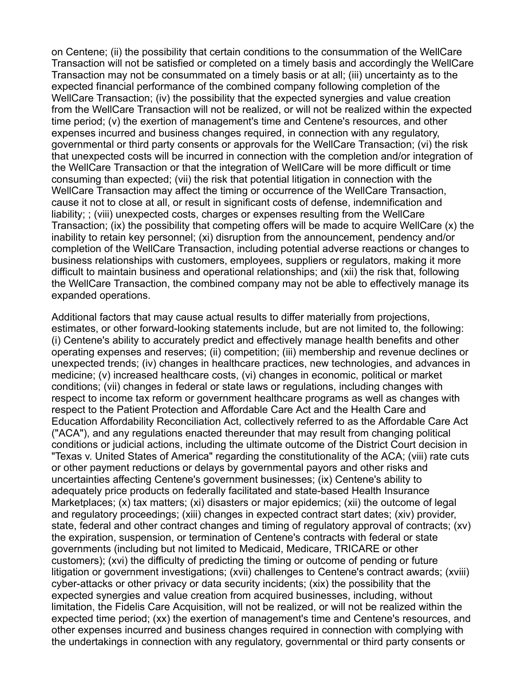on Centene; (ii) the possibility that certain conditions to the consummation of the WellCare Transaction will not be satisfied or completed on a timely basis and accordingly the WellCare Transaction may not be consummated on a timely basis or at all; (iii) uncertainty as to the expected financial performance of the combined company following completion of the WellCare Transaction; (iv) the possibility that the expected synergies and value creation from the WellCare Transaction will not be realized, or will not be realized within the expected time period; (v) the exertion of management's time and Centene's resources, and other expenses incurred and business changes required, in connection with any regulatory, governmental or third party consents or approvals for the WellCare Transaction; (vi) the risk that unexpected costs will be incurred in connection with the completion and/or integration of the WellCare Transaction or that the integration of WellCare will be more difficult or time consuming than expected; (vii) the risk that potential litigation in connection with the WellCare Transaction may affect the timing or occurrence of the WellCare Transaction, cause it not to close at all, or result in significant costs of defense, indemnification and liability; ; (viii) unexpected costs, charges or expenses resulting from the WellCare Transaction; (ix) the possibility that competing offers will be made to acquire WellCare (x) the inability to retain key personnel; (xi) disruption from the announcement, pendency and/or completion of the WellCare Transaction, including potential adverse reactions or changes to business relationships with customers, employees, suppliers or regulators, making it more difficult to maintain business and operational relationships; and (xii) the risk that, following the WellCare Transaction, the combined company may not be able to effectively manage its expanded operations.

Additional factors that may cause actual results to differ materially from projections, estimates, or other forward-looking statements include, but are not limited to, the following: (i) Centene's ability to accurately predict and effectively manage health benefits and other operating expenses and reserves; (ii) competition; (iii) membership and revenue declines or unexpected trends; (iv) changes in healthcare practices, new technologies, and advances in medicine; (v) increased healthcare costs, (vi) changes in economic, political or market conditions; (vii) changes in federal or state laws or regulations, including changes with respect to income tax reform or government healthcare programs as well as changes with respect to the Patient Protection and Affordable Care Act and the Health Care and Education Affordability Reconciliation Act, collectively referred to as the Affordable Care Act ("ACA"), and any regulations enacted thereunder that may result from changing political conditions or judicial actions, including the ultimate outcome of the District Court decision in "Texas v. United States of America" regarding the constitutionality of the ACA; (viii) rate cuts or other payment reductions or delays by governmental payors and other risks and uncertainties affecting Centene's government businesses; (ix) Centene's ability to adequately price products on federally facilitated and state-based Health Insurance Marketplaces; (x) tax matters; (xi) disasters or major epidemics; (xii) the outcome of legal and regulatory proceedings; (xiii) changes in expected contract start dates; (xiv) provider, state, federal and other contract changes and timing of regulatory approval of contracts; (xv) the expiration, suspension, or termination of Centene's contracts with federal or state governments (including but not limited to Medicaid, Medicare, TRICARE or other customers); (xvi) the difficulty of predicting the timing or outcome of pending or future litigation or government investigations; (xvii) challenges to Centene's contract awards; (xviii) cyber-attacks or other privacy or data security incidents; (xix) the possibility that the expected synergies and value creation from acquired businesses, including, without limitation, the Fidelis Care Acquisition, will not be realized, or will not be realized within the expected time period; (xx) the exertion of management's time and Centene's resources, and other expenses incurred and business changes required in connection with complying with the undertakings in connection with any regulatory, governmental or third party consents or